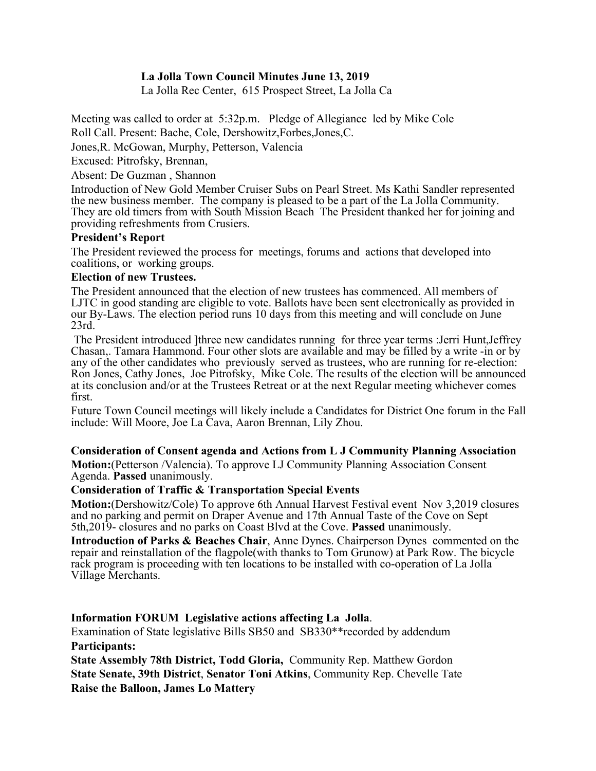# **La Jolla Town Council Minutes June 13, 2019**

La Jolla Rec Center, 615 Prospect Street, La Jolla Ca

Meeting was called to order at 5:32p.m. Pledge of Allegiance led by Mike Cole Roll Call. Present: Bache, Cole, Dershowitz,Forbes,Jones,C.

Jones,R. McGowan, Murphy, Petterson, Valencia

Excused: Pitrofsky, Brennan,

Absent: De Guzman , Shannon

Introduction of New Gold Member Cruiser Subs on Pearl Street. Ms Kathi Sandler represented the new business member. The company is pleased to be a part of the La Jolla Community. They are old timers from with South Mission Beach The President thanked her for joining and providing refreshments from Crusiers.

## **President's Report**

The President reviewed the process for meetings, forums and actions that developed into coalitions, or working groups.

## **Election of new Trustees.**

The President announced that the election of new trustees has commenced. All members of LJTC in good standing are eligible to vote. Ballots have been sent electronically as provided in our By-Laws. The election period runs 10 days from this meeting and will conclude on June 23rd.

The President introduced ]three new candidates running for three year terms :Jerri Hunt,Jeffrey Chasan,. Tamara Hammond. Four other slots are available and may be filled by a write -in or by any of the other candidates who previously served as trustees, who are running for re-election: Ron Jones, Cathy Jones, Joe Pitrofsky, Mike Cole. The results of the election will be announced at its conclusion and/or at the Trustees Retreat or at the next Regular meeting whichever comes first.

Future Town Council meetings will likely include a Candidates for District One forum in the Fall include: Will Moore, Joe La Cava, Aaron Brennan, Lily Zhou.

### **Consideration of Consent agenda and Actions from L J Community Planning Association**

**Motion:**(Petterson /Valencia). To approve LJ Community Planning Association Consent Agenda. **Passed** unanimously.

### **Consideration of Traffic & Transportation Special Events**

**Motion:**(Dershowitz/Cole) To approve 6th Annual Harvest Festival event Nov 3,2019 closures and no parking and permit on Draper Avenue and 17th Annual Taste of the Cove on Sept 5th,2019- closures and no parks on Coast Blvd at the Cove. **Passed** unanimously.

**Introduction of Parks & Beaches Chair**, Anne Dynes. Chairperson Dynes commented on the repair and reinstallation of the flagpole(with thanks to Tom Grunow) at Park Row. The bicycle rack program is proceeding with ten locations to be installed with co-operation of La Jolla Village Merchants.

# **Information FORUM Legislative actions affecting La Jolla**.

Examination of State legislative Bills SB50 and SB330\*\*recorded by addendum **Participants:**

**State Assembly 78th District, Todd Gloria,** Community Rep. Matthew Gordon **State Senate, 39th District**, **Senator Toni Atkins**, Community Rep. Chevelle Tate **Raise the Balloon, James Lo Mattery**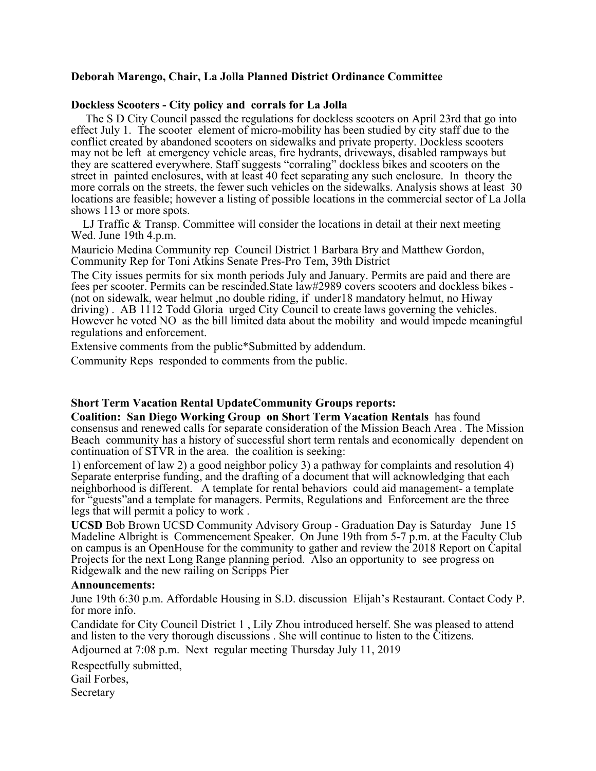# **Deborah Marengo, Chair, La Jolla Planned District Ordinance Committee**

### **Dockless Scooters - City policy and corrals for La Jolla**

 The S D City Council passed the regulations for dockless scooters on April 23rd that go into effect July 1. The scooter element of micro-mobility has been studied by city staff due to the conflict created by abandoned scooters on sidewalks and private property. Dockless scooters may not be left at emergency vehicle areas, fire hydrants, driveways, disabled rampways but they are scattered everywhere. Staff suggests "corraling" dockless bikes and scooters on the street in painted enclosures, with at least 40 feet separating any such enclosure. In theory the more corrals on the streets, the fewer such vehicles on the sidewalks. Analysis shows at least 30 locations are feasible; however a listing of possible locations in the commercial sector of La Jolla shows 113 or more spots.

 LJ Traffic & Transp. Committee will consider the locations in detail at their next meeting Wed. June 19th 4.p.m.

Mauricio Medina Community rep Council District 1 Barbara Bry and Matthew Gordon, Community Rep for Toni Atkins Senate Pres-Pro Tem, 39th District

The City issues permits for six month periods July and January. Permits are paid and there are fees per scooter. Permits can be rescinded. State law#2989 covers scooters and dockless bikes -(not on sidewalk, wear helmut ,no double riding, if under18 mandatory helmut, no Hiway driving). AB 1112 Todd Gloria urged City Council to create laws governing the vehicles. However he voted NO as the bill limited data about the mobility and would impede meaningful regulations and enforcement.

Extensive comments from the public\*Submitted by addendum.

Community Reps responded to comments from the public.

#### **Short Term Vacation Rental UpdateCommunity Groups reports:**

**Coalition: San Diego Working Group on Short Term Vacation Rentals** has found consensus and renewed calls for separate consideration of the Mission Beach Area . The Mission Beach community has a history of successful short term rentals and economically dependent on continuation of STVR in the area. the coalition is seeking:

1) enforcement of law 2) a good neighbor policy 3) a pathway for complaints and resolution 4) Separate enterprise funding, and the drafting of a document that will acknowledging that each neighborhood is different. A template for rental behaviors could aid management- a template for "guests"and a template for managers. Permits, Regulations and Enforcement are the three legs that will permit a policy to work .

**UCSD** Bob Brown UCSD Community Advisory Group - Graduation Day is Saturday June 15 Madeline Albright is Commencement Speaker. On June 19th from 5-7 p.m. at the Faculty Club on campus is an OpenHouse for the community to gather and review the 2018 Report on Capital Projects for the next Long Range planning period. Also an opportunity to see progress on Ridgewalk and the new railing on Scripps Pier

#### **Announcements:**

June 19th 6:30 p.m. Affordable Housing in S.D. discussion Elijah's Restaurant. Contact Cody P. for more info.

Candidate for City Council District 1 , Lily Zhou introduced herself. She was pleased to attend and listen to the very thorough discussions . She will continue to listen to the Citizens.

Adjourned at 7:08 p.m. Next regular meeting Thursday July 11, 2019

Respectfully submitted,

Gail Forbes,

Secretary